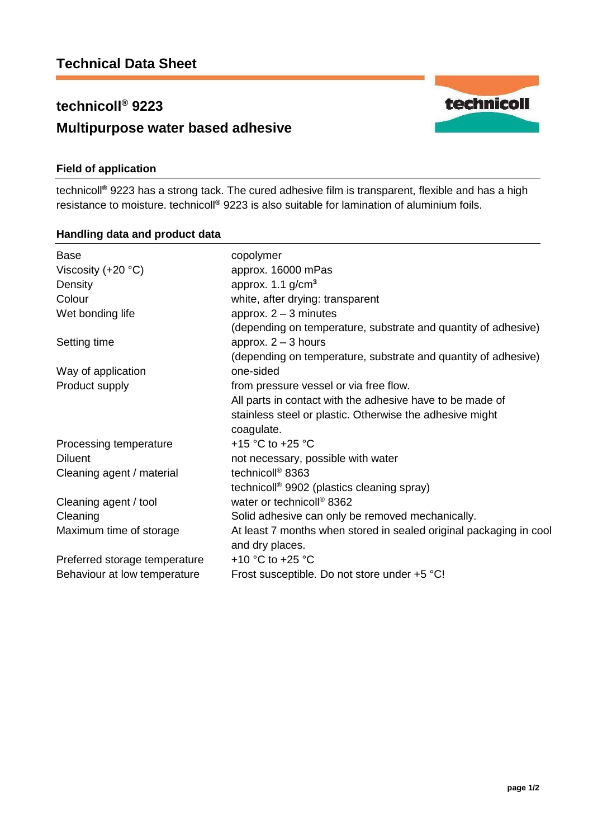# **technicoll® 9223 Multipurpose water based adhesive**

## **Field of application**

technicoll**®** 9223 has a strong tack. The cured adhesive film is transparent, flexible and has a high resistance to moisture. technicoll**®** 9223 is also suitable for lamination of aluminium foils.

### **Handling data and product data**

| copolymer                                                          |
|--------------------------------------------------------------------|
| approx. 16000 mPas                                                 |
| approx. $1.1$ g/cm <sup>3</sup>                                    |
| white, after drying: transparent                                   |
| approx. $2 - 3$ minutes                                            |
| (depending on temperature, substrate and quantity of adhesive)     |
| approx. $2 - 3$ hours                                              |
| (depending on temperature, substrate and quantity of adhesive)     |
| one-sided                                                          |
| from pressure vessel or via free flow.                             |
| All parts in contact with the adhesive have to be made of          |
| stainless steel or plastic. Otherwise the adhesive might           |
| coagulate.                                                         |
| +15 °C to +25 °C                                                   |
| not necessary, possible with water                                 |
| technicoll <sup>®</sup> 8363                                       |
| technicoll <sup>®</sup> 9902 (plastics cleaning spray)             |
| water or technicoll <sup>®</sup> 8362                              |
| Solid adhesive can only be removed mechanically.                   |
| At least 7 months when stored in sealed original packaging in cool |
| and dry places.                                                    |
| +10 $^{\circ}$ C to +25 $^{\circ}$ C                               |
| Frost susceptible. Do not store under +5 °C!                       |
|                                                                    |